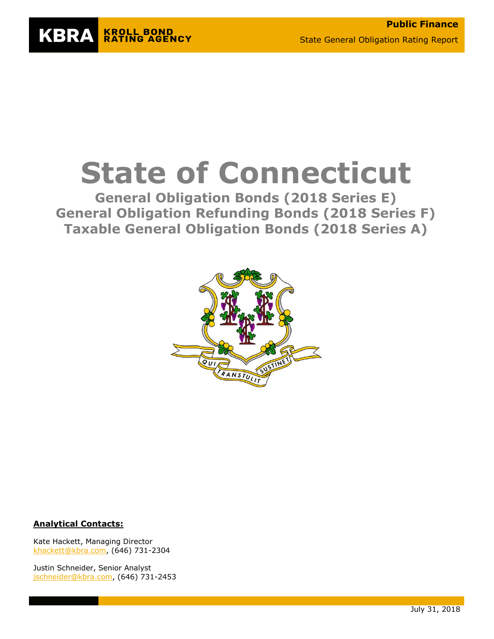

# **State of Connecticut**

**General Obligation Bonds (2018 Series E) General Obligation Refunding Bonds (2018 Series F) Taxable General Obligation Bonds (2018 Series A)**



#### **Analytical Contacts:**

Kate Hackett, Managing Director [khackett@kbra.com,](mailto:khackett@kbra.com) (646) 731-2304

Justin Schneider, Senior Analyst [jschneider@kbra.com,](mailto:jschneider@kbra.com) (646) 731-2453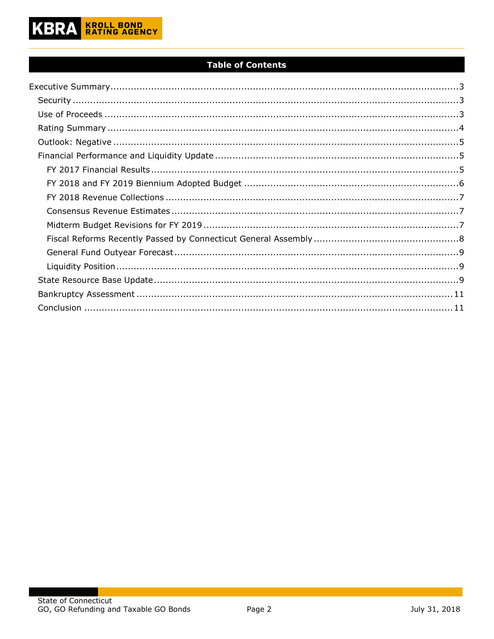

### **Table of Contents**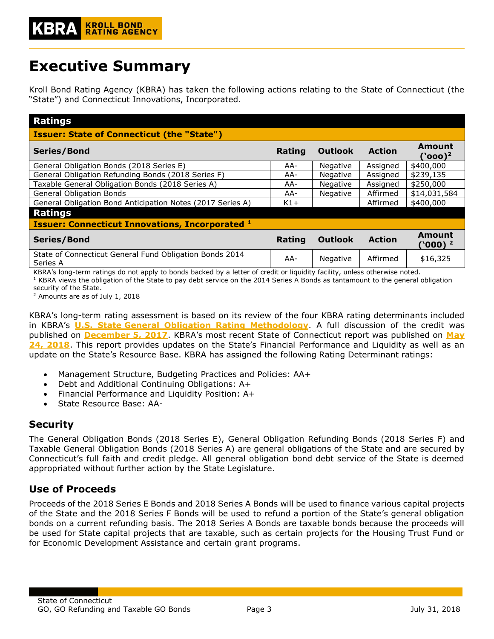# <span id="page-2-0"></span>**Executive Summary**

Kroll Bond Rating Agency (KBRA) has taken the following actions relating to the State of Connecticut (the "State") and Connecticut Innovations, Incorporated.

| <b>Ratings</b>                                                      |        |                 |               |                                      |
|---------------------------------------------------------------------|--------|-----------------|---------------|--------------------------------------|
| <b>Issuer: State of Connecticut (the "State")</b>                   |        |                 |               |                                      |
| Series/Bond                                                         | Rating | <b>Outlook</b>  | <b>Action</b> | Amount<br>$($ `000 $)^2$             |
| General Obligation Bonds (2018 Series E)                            | AA-    | <b>Negative</b> | Assigned      | \$400,000                            |
| General Obligation Refunding Bonds (2018 Series F)                  | AA-    | Negative        | Assigned      | \$239,135                            |
| Taxable General Obligation Bonds (2018 Series A)                    | AA-    | Negative        | Assigned      | \$250,000                            |
| <b>General Obligation Bonds</b>                                     | AA-    | Negative        | Affirmed      | \$14,031,584                         |
| General Obligation Bond Anticipation Notes (2017 Series A)          | $K1+$  |                 | Affirmed      | \$400,000                            |
| <b>Ratings</b>                                                      |        |                 |               |                                      |
| <b>Issuer: Connecticut Innovations, Incorporated 1</b>              |        |                 |               |                                      |
| Series/Bond                                                         | Rating | <b>Outlook</b>  | <b>Action</b> | <b>Amount</b><br>(`000) <sup>2</sup> |
| State of Connecticut General Fund Obligation Bonds 2014<br>Series A | AA-    | Negative        | Affirmed      | \$16,325                             |

KBRA's long-term ratings do not apply to bonds backed by a letter of credit or liquidity facility, unless otherwise noted.  $1$  KBRA views the obligation of the State to pay debt service on the 2014 Series A Bonds as tantamount to the general obligation security of the State.

<sup>2</sup> Amounts are as of July 1, 2018

KBRA's long-term rating assessment is based on its review of the four KBRA rating determinants included in KBRA's **U.S. State [General Obligation Rating Methodology](http://www.krollbondratings.com/show_report/74)**. A full discussion of the credit was published on **[December 5, 2017](https://www.krollbondratings.com/show_report/8350)**. KBRA's most recent State of Connecticut report was published on **[May](https://www.krollbondratings.com/show_report/10414)  [24, 2018](https://www.krollbondratings.com/show_report/10414)**. This report provides updates on the State's Financial Performance and Liquidity as well as an update on the State's Resource Base. KBRA has assigned the following Rating Determinant ratings:

- Management Structure, Budgeting Practices and Policies: AA+
- Debt and Additional Continuing Obligations: A+
- Financial Performance and Liquidity Position: A+
- State Resource Base: AA-

# <span id="page-2-1"></span>**Security**

The General Obligation Bonds (2018 Series E), General Obligation Refunding Bonds (2018 Series F) and Taxable General Obligation Bonds (2018 Series A) are general obligations of the State and are secured by Connecticut's full faith and credit pledge. All general obligation bond debt service of the State is deemed appropriated without further action by the State Legislature.

# <span id="page-2-2"></span>**Use of Proceeds**

Proceeds of the 2018 Series E Bonds and 2018 Series A Bonds will be used to finance various capital projects of the State and the 2018 Series F Bonds will be used to refund a portion of the State's general obligation bonds on a current refunding basis. The 2018 Series A Bonds are taxable bonds because the proceeds will be used for State capital projects that are taxable, such as certain projects for the Housing Trust Fund or for Economic Development Assistance and certain grant programs.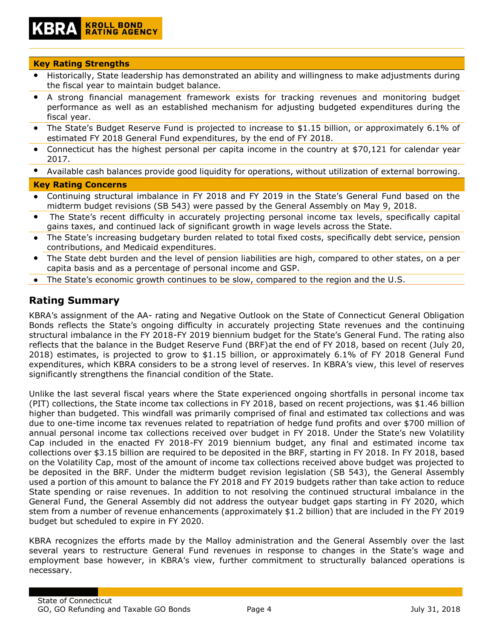# **KROLL BOND<br>RATING AGENCY**

#### **Key Rating Strengths**

- Historically, State leadership has demonstrated an ability and willingness to make adjustments during the fiscal year to maintain budget balance.
- A strong financial management framework exists for tracking revenues and monitoring budget performance as well as an established mechanism for adjusting budgeted expenditures during the fiscal year.
- The State's Budget Reserve Fund is projected to increase to \$1.15 billion, or approximately 6.1% of estimated FY 2018 General Fund expenditures, by the end of FY 2018.
- Connecticut has the highest personal per capita income in the country at \$70,121 for calendar year 2017.
- Available cash balances provide good liquidity for operations, without utilization of external borrowing.

#### **Key Rating Concerns**

- Continuing structural imbalance in FY 2018 and FY 2019 in the State's General Fund based on the midterm budget revisions (SB 543) were passed by the General Assembly on May 9, 2018.
- The State's recent difficulty in accurately projecting personal income tax levels, specifically capital gains taxes, and continued lack of significant growth in wage levels across the State.
- The State's increasing budgetary burden related to total fixed costs, specifically debt service, pension contributions, and Medicaid expenditures.
- The State debt burden and the level of pension liabilities are high, compared to other states, on a per capita basis and as a percentage of personal income and GSP.
- The State's economic growth continues to be slow, compared to the region and the U.S.

# <span id="page-3-0"></span>**Rating Summary**

KBRA's assignment of the AA- rating and Negative Outlook on the State of Connecticut General Obligation Bonds reflects the State's ongoing difficulty in accurately projecting State revenues and the continuing structural imbalance in the FY 2018-FY 2019 biennium budget for the State's General Fund. The rating also reflects that the balance in the Budget Reserve Fund (BRF)at the end of FY 2018, based on recent (July 20, 2018) estimates, is projected to grow to \$1.15 billion, or approximately 6.1% of FY 2018 General Fund expenditures, which KBRA considers to be a strong level of reserves. In KBRA's view, this level of reserves significantly strengthens the financial condition of the State.

Unlike the last several fiscal years where the State experienced ongoing shortfalls in personal income tax (PIT) collections, the State income tax collections in FY 2018, based on recent projections, was \$1.46 billion higher than budgeted. This windfall was primarily comprised of final and estimated tax collections and was due to one-time income tax revenues related to repatriation of hedge fund profits and over \$700 million of annual personal income tax collections received over budget in FY 2018. Under the State's new Volatility Cap included in the enacted FY 2018-FY 2019 biennium budget, any final and estimated income tax collections over \$3.15 billion are required to be deposited in the BRF, starting in FY 2018. In FY 2018, based on the Volatility Cap, most of the amount of income tax collections received above budget was projected to be deposited in the BRF. Under the midterm budget revision legislation (SB 543), the General Assembly used a portion of this amount to balance the FY 2018 and FY 2019 budgets rather than take action to reduce State spending or raise revenues. In addition to not resolving the continued structural imbalance in the General Fund, the General Assembly did not address the outyear budget gaps starting in FY 2020, which stem from a number of revenue enhancements (approximately \$1.2 billion) that are included in the FY 2019 budget but scheduled to expire in FY 2020.

KBRA recognizes the efforts made by the Malloy administration and the General Assembly over the last several years to restructure General Fund revenues in response to changes in the State's wage and employment base however, in KBRA's view, further commitment to structurally balanced operations is necessary.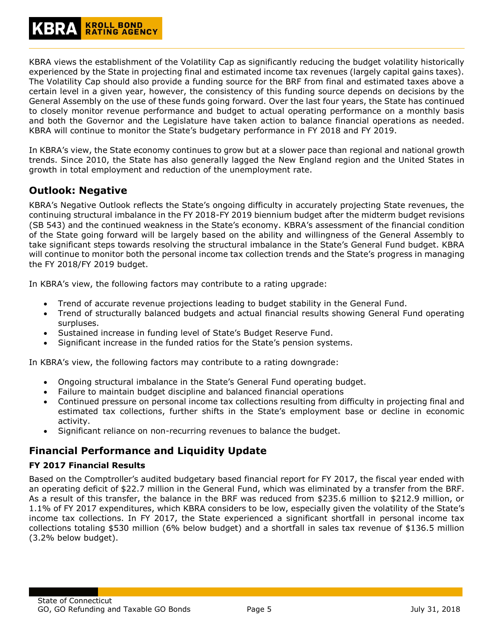KBRA views the establishment of the Volatility Cap as significantly reducing the budget volatility historically experienced by the State in projecting final and estimated income tax revenues (largely capital gains taxes). The Volatility Cap should also provide a funding source for the BRF from final and estimated taxes above a certain level in a given year, however, the consistency of this funding source depends on decisions by the General Assembly on the use of these funds going forward. Over the last four years, the State has continued to closely monitor revenue performance and budget to actual operating performance on a monthly basis and both the Governor and the Legislature have taken action to balance financial operations as needed. KBRA will continue to monitor the State's budgetary performance in FY 2018 and FY 2019.

In KBRA's view, the State economy continues to grow but at a slower pace than regional and national growth trends. Since 2010, the State has also generally lagged the New England region and the United States in growth in total employment and reduction of the unemployment rate.

# <span id="page-4-0"></span>**Outlook: Negative**

KBRA's Negative Outlook reflects the State's ongoing difficulty in accurately projecting State revenues, the continuing structural imbalance in the FY 2018-FY 2019 biennium budget after the midterm budget revisions (SB 543) and the continued weakness in the State's economy. KBRA's assessment of the financial condition of the State going forward will be largely based on the ability and willingness of the General Assembly to take significant steps towards resolving the structural imbalance in the State's General Fund budget. KBRA will continue to monitor both the personal income tax collection trends and the State's progress in managing the FY 2018/FY 2019 budget.

In KBRA's view, the following factors may contribute to a rating upgrade:

- Trend of accurate revenue projections leading to budget stability in the General Fund.
- Trend of structurally balanced budgets and actual financial results showing General Fund operating surpluses.
- Sustained increase in funding level of State's Budget Reserve Fund.
- Significant increase in the funded ratios for the State's pension systems.

In KBRA's view, the following factors may contribute to a rating downgrade:

- Ongoing structural imbalance in the State's General Fund operating budget.
- Failure to maintain budget discipline and balanced financial operations
- Continued pressure on personal income tax collections resulting from difficulty in projecting final and estimated tax collections, further shifts in the State's employment base or decline in economic activity.
- Significant reliance on non-recurring revenues to balance the budget.

# <span id="page-4-1"></span>**Financial Performance and Liquidity Update**

#### <span id="page-4-2"></span>**FY 2017 Financial Results**

Based on the Comptroller's audited budgetary based financial report for FY 2017, the fiscal year ended with an operating deficit of \$22.7 million in the General Fund, which was eliminated by a transfer from the BRF. As a result of this transfer, the balance in the BRF was reduced from \$235.6 million to \$212.9 million, or 1.1% of FY 2017 expenditures, which KBRA considers to be low, especially given the volatility of the State's income tax collections. In FY 2017, the State experienced a significant shortfall in personal income tax collections totaling \$530 million (6% below budget) and a shortfall in sales tax revenue of \$136.5 million (3.2% below budget).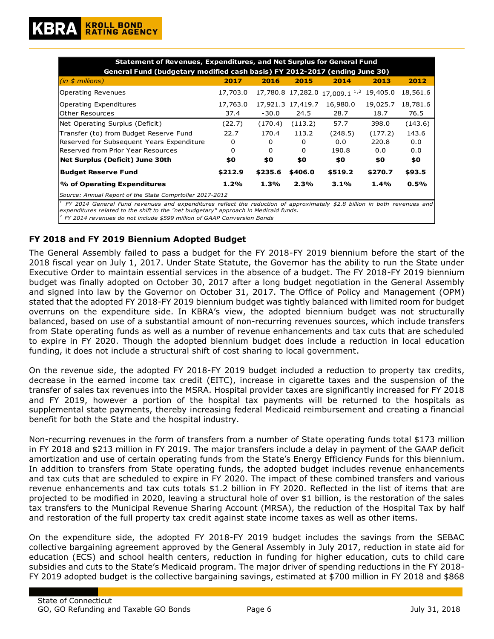| Statement of Revenues, Expenditures, and Net Surplus for General Fund<br>General Fund (budgetary modified cash basis) FY 2012-2017 (ending June 30)                                                                   |                                              |         |                   |                                           |          |          |  |  |  |  |
|-----------------------------------------------------------------------------------------------------------------------------------------------------------------------------------------------------------------------|----------------------------------------------|---------|-------------------|-------------------------------------------|----------|----------|--|--|--|--|
| (in \$millions)                                                                                                                                                                                                       | 2017                                         | 2016    | 2015              | 2014                                      | 2013     | 2012     |  |  |  |  |
| Operating Revenues                                                                                                                                                                                                    | 17,703.0                                     |         |                   | 17,780.8 17,282.0 17,009.1 <sup>1,2</sup> | 19,405.0 | 18,561.6 |  |  |  |  |
| Operating Expenditures                                                                                                                                                                                                | 17,763.0                                     |         | 17,921.3 17,419.7 | 16,980.0                                  | 19,025.7 | 18,781.6 |  |  |  |  |
| Other Resources                                                                                                                                                                                                       | 37.4                                         | $-30.0$ | 24.5              | 28.7                                      | 18.7     | 76.5     |  |  |  |  |
| Net Operating Surplus (Deficit)                                                                                                                                                                                       | (22.7)                                       | (170.4) | (113.2)           | 57.7                                      | 398.0    | (143.6)  |  |  |  |  |
| Transfer (to) from Budget Reserve Fund                                                                                                                                                                                | 22.7                                         | 170.4   | 113.2             | (248.5)                                   | (177.2)  | 143.6    |  |  |  |  |
| Reserved for Subsequent Years Expenditure                                                                                                                                                                             | 0                                            | 0       | 0                 | 0.0                                       | 220.8    | 0.0      |  |  |  |  |
| Reserved from Prior Year Resources                                                                                                                                                                                    | $\Omega$                                     | 0       | <sup>0</sup>      | 190.8                                     | 0.0      | 0.0      |  |  |  |  |
| Net Surplus (Deficit) June 30th                                                                                                                                                                                       | \$0                                          | \$0     | \$0               | \$0                                       | \$0      | \$0      |  |  |  |  |
| <b>Budget Reserve Fund</b>                                                                                                                                                                                            | \$212.9                                      | \$235.6 | \$406.0           | \$519.2                                   | \$270.7  | \$93.5   |  |  |  |  |
| % of Operating Expenditures                                                                                                                                                                                           | 1.3%<br>2.3%<br>3.1%<br>0.5%<br>1.2%<br>1.4% |         |                   |                                           |          |          |  |  |  |  |
| Source: Annual Report of the State Comprtoller 2017-2012                                                                                                                                                              |                                              |         |                   |                                           |          |          |  |  |  |  |
| $^1$ FY 2014 General Fund revenues and expenditures reflect the reduction of approximately \$2.8 billion in both revenues and<br>expenditures related to the shift to the "net budgetary" approach in Medicaid funds. |                                              |         |                   |                                           |          |          |  |  |  |  |

*2 FY 2014 revenues do not include \$599 million of GAAP Conversion Bonds*

#### <span id="page-5-0"></span>**FY 2018 and FY 2019 Biennium Adopted Budget**

The General Assembly failed to pass a budget for the FY 2018-FY 2019 biennium before the start of the 2018 fiscal year on July 1, 2017. Under State Statute, the Governor has the ability to run the State under Executive Order to maintain essential services in the absence of a budget. The FY 2018-FY 2019 biennium budget was finally adopted on October 30, 2017 after a long budget negotiation in the General Assembly and signed into law by the Governor on October 31, 2017. The Office of Policy and Management (OPM) stated that the adopted FY 2018-FY 2019 biennium budget was tightly balanced with limited room for budget overruns on the expenditure side. In KBRA's view, the adopted biennium budget was not structurally balanced, based on use of a substantial amount of non-recurring revenues sources, which include transfers from State operating funds as well as a number of revenue enhancements and tax cuts that are scheduled to expire in FY 2020. Though the adopted biennium budget does include a reduction in local education funding, it does not include a structural shift of cost sharing to local government.

On the revenue side, the adopted FY 2018-FY 2019 budget included a reduction to property tax credits, decrease in the earned income tax credit (EITC), increase in cigarette taxes and the suspension of the transfer of sales tax revenues into the MSRA. Hospital provider taxes are significantly increased for FY 2018 and FY 2019, however a portion of the hospital tax payments will be returned to the hospitals as supplemental state payments, thereby increasing federal Medicaid reimbursement and creating a financial benefit for both the State and the hospital industry.

Non-recurring revenues in the form of transfers from a number of State operating funds total \$173 million in FY 2018 and \$213 million in FY 2019. The major transfers include a delay in payment of the GAAP deficit amortization and use of certain operating funds from the State's Energy Efficiency Funds for this biennium. In addition to transfers from State operating funds, the adopted budget includes revenue enhancements and tax cuts that are scheduled to expire in FY 2020. The impact of these combined transfers and various revenue enhancements and tax cuts totals \$1.2 billion in FY 2020. Reflected in the list of items that are projected to be modified in 2020, leaving a structural hole of over \$1 billion, is the restoration of the sales tax transfers to the Municipal Revenue Sharing Account (MRSA), the reduction of the Hospital Tax by half and restoration of the full property tax credit against state income taxes as well as other items.

On the expenditure side, the adopted FY 2018-FY 2019 budget includes the savings from the SEBAC collective bargaining agreement approved by the General Assembly in July 2017, reduction in state aid for education (ECS) and school health centers, reduction in funding for higher education, cuts to child care subsidies and cuts to the State's Medicaid program. The major driver of spending reductions in the FY 2018- FY 2019 adopted budget is the collective bargaining savings, estimated at \$700 million in FY 2018 and \$868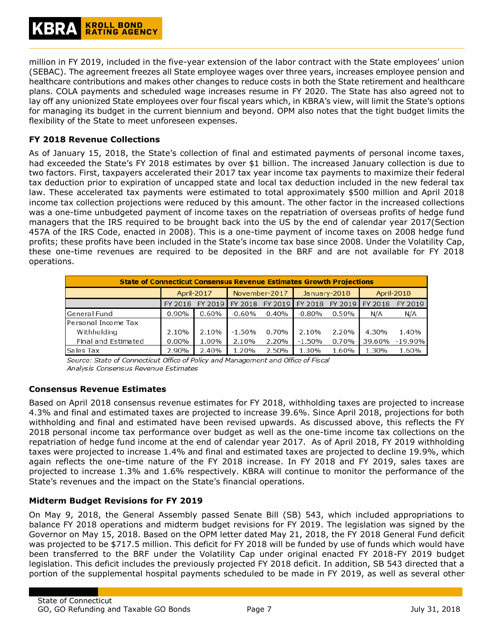million in FY 2019, included in the five-year extension of the labor contract with the State employees' union (SEBAC). The agreement freezes all State employee wages over three years, increases employee pension and healthcare contributions and makes other changes to reduce costs in both the State retirement and healthcare plans. COLA payments and scheduled wage increases resume in FY 2020. The State has also agreed not to lay off any unionized State employees over four fiscal years which, in KBRA's view, will limit the State's options for managing its budget in the current biennium and beyond. OPM also notes that the tight budget limits the flexibility of the State to meet unforeseen expenses.

#### <span id="page-6-0"></span>**FY 2018 Revenue Collections**

As of January 15, 2018, the State's collection of final and estimated payments of personal income taxes, had exceeded the State's FY 2018 estimates by over \$1 billion. The increased January collection is due to two factors. First, taxpayers accelerated their 2017 tax year income tax payments to maximize their federal tax deduction prior to expiration of uncapped state and local tax deduction included in the new federal tax law. These accelerated tax payments were estimated to total approximately \$500 million and April 2018 income tax collection projections were reduced by this amount. The other factor in the increased collections was a one-time unbudgeted payment of income taxes on the repatriation of overseas profits of hedge fund managers that the IRS required to be brought back into the US by the end of calendar year 2017(Section 457A of the IRS Code, enacted in 2008). This is a one-time payment of income taxes on 2008 hedge fund profits; these profits have been included in the State's income tax base since 2008. Under the Volatility Cap, these one-time revenues are required to be deposited in the BRF and are not available for FY 2018 operations.

| <b>State of Connecticut Consensus Revenue Estimates Growth Projections</b> |            |         |               |       |                 |                 |        |            |  |  |  |
|----------------------------------------------------------------------------|------------|---------|---------------|-------|-----------------|-----------------|--------|------------|--|--|--|
|                                                                            | April-2017 |         | November-2017 |       | January-2018    |                 |        | April-2018 |  |  |  |
|                                                                            | FY 2018    | FY 2019 | FY 2018       |       | FY 2019 FY 2018 | FY 2019 FY 2018 |        | FY 2019    |  |  |  |
| General Fund                                                               | $0.90\%$   | 0.60%   | $-0.60%$      | 0.40% | $-0.80%$        | 0.50%           | N/A    | N/A        |  |  |  |
| Personal Income Tax                                                        |            |         |               |       |                 |                 |        |            |  |  |  |
| Withholding                                                                | 2.10%      | 2.10%   | $-1.50%$      | 0.70% | 2.10%           | 2.20%           | 4.30%  | 1.40%      |  |  |  |
| Final and Estimated                                                        | $0.00\%$   | 1.00%   | 2.10%         | 2.20% | $-1.50%$        | 0.70%           | 39.60% | $-19.90\%$ |  |  |  |
| Sales Tax                                                                  | 2.90%      | 2.40%   | 1.20%         | 2.50% | 1.30%           | 1.60%           | 1.30%  | 1.60%      |  |  |  |

Source: State of Connecticut Office of Policy and Management and Office of Fiscal Analysis Consensus Revenue Estimates

#### <span id="page-6-1"></span>**Consensus Revenue Estimates**

Based on April 2018 consensus revenue estimates for FY 2018, withholding taxes are projected to increase 4.3% and final and estimated taxes are projected to increase 39.6%. Since April 2018, projections for both withholding and final and estimated have been revised upwards. As discussed above, this reflects the FY 2018 personal income tax performance over budget as well as the one-time income tax collections on the repatriation of hedge fund income at the end of calendar year 2017. As of April 2018, FY 2019 withholding taxes were projected to increase 1.4% and final and estimated taxes are projected to decline 19.9%, which again reflects the one-time nature of the FY 2018 increase. In FY 2018 and FY 2019, sales taxes are projected to increase 1.3% and 1.6% respectively. KBRA will continue to monitor the performance of the State's revenues and the impact on the State's financial operations.

#### <span id="page-6-2"></span>**Midterm Budget Revisions for FY 2019**

On May 9, 2018, the General Assembly passed Senate Bill (SB) 543, which included appropriations to balance FY 2018 operations and midterm budget revisions for FY 2019. The legislation was signed by the Governor on May 15, 2018. Based on the OPM letter dated May 21, 2018, the FY 2018 General Fund deficit was projected to be \$717.5 million. This deficit for FY 2018 will be funded by use of funds which would have been transferred to the BRF under the Volatility Cap under original enacted FY 2018-FY 2019 budget legislation. This deficit includes the previously projected FY 2018 deficit. In addition, SB 543 directed that a portion of the supplemental hospital payments scheduled to be made in FY 2019, as well as several other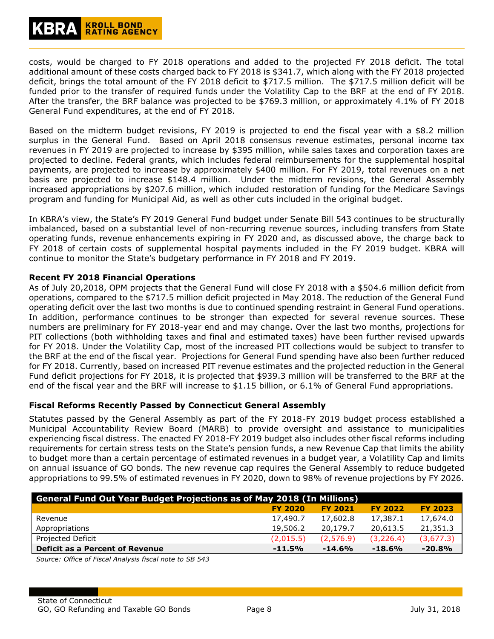# **KROLL BOND<br>RATING AGENCY**

costs, would be charged to FY 2018 operations and added to the projected FY 2018 deficit. The total additional amount of these costs charged back to FY 2018 is \$341.7, which along with the FY 2018 projected deficit, brings the total amount of the FY 2018 deficit to \$717.5 million. The \$717.5 million deficit will be funded prior to the transfer of required funds under the Volatility Cap to the BRF at the end of FY 2018. After the transfer, the BRF balance was projected to be \$769.3 million, or approximately 4.1% of FY 2018 General Fund expenditures, at the end of FY 2018.

Based on the midterm budget revisions, FY 2019 is projected to end the fiscal year with a \$8.2 million surplus in the General Fund. Based on April 2018 consensus revenue estimates, personal income tax revenues in FY 2019 are projected to increase by \$395 million, while sales taxes and corporation taxes are projected to decline. Federal grants, which includes federal reimbursements for the supplemental hospital payments, are projected to increase by approximately \$400 million. For FY 2019, total revenues on a net basis are projected to increase \$148.4 million. Under the midterm revisions, the General Assembly increased appropriations by \$207.6 million, which included restoration of funding for the Medicare Savings program and funding for Municipal Aid, as well as other cuts included in the original budget.

In KBRA's view, the State's FY 2019 General Fund budget under Senate Bill 543 continues to be structurally imbalanced, based on a substantial level of non-recurring revenue sources, including transfers from State operating funds, revenue enhancements expiring in FY 2020 and, as discussed above, the charge back to FY 2018 of certain costs of supplemental hospital payments included in the FY 2019 budget. KBRA will continue to monitor the State's budgetary performance in FY 2018 and FY 2019.

#### **Recent FY 2018 Financial Operations**

As of July 20,2018, OPM projects that the General Fund will close FY 2018 with a \$504.6 million deficit from operations, compared to the \$717.5 million deficit projected in May 2018. The reduction of the General Fund operating deficit over the last two months is due to continued spending restraint in General Fund operations. In addition, performance continues to be stronger than expected for several revenue sources. These numbers are preliminary for FY 2018-year end and may change. Over the last two months, projections for PIT collections (both withholding taxes and final and estimated taxes) have been further revised upwards for FY 2018. Under the Volatility Cap, most of the increased PIT collections would be subject to transfer to the BRF at the end of the fiscal year. Projections for General Fund spending have also been further reduced for FY 2018. Currently, based on increased PIT revenue estimates and the projected reduction in the General Fund deficit projections for FY 2018, it is projected that \$939.3 million will be transferred to the BRF at the end of the fiscal year and the BRF will increase to \$1.15 billion, or 6.1% of General Fund appropriations.

#### <span id="page-7-0"></span>**Fiscal Reforms Recently Passed by Connecticut General Assembly**

Statutes passed by the General Assembly as part of the FY 2018-FY 2019 budget process established a Municipal Accountability Review Board (MARB) to provide oversight and assistance to municipalities experiencing fiscal distress. The enacted FY 2018-FY 2019 budget also includes other fiscal reforms including requirements for certain stress tests on the State's pension funds, a new Revenue Cap that limits the ability to budget more than a certain percentage of estimated revenues in a budget year, a Volatility Cap and limits on annual issuance of GO bonds. The new revenue cap requires the General Assembly to reduce budgeted appropriations to 99.5% of estimated revenues in FY 2020, down to 98% of revenue projections by FY 2026.

| <b>General Fund Out Year Budget Projections as of May 2018 (In Millions)</b> |           |           |           |           |  |  |  |  |  |  |
|------------------------------------------------------------------------------|-----------|-----------|-----------|-----------|--|--|--|--|--|--|
| <b>FY 2023</b><br><b>FY 2022</b><br><b>FY 2020</b><br><b>FY 2021</b>         |           |           |           |           |  |  |  |  |  |  |
| Revenue                                                                      | 17,490.7  | 17,602.8  | 17,387.1  | 17,674.0  |  |  |  |  |  |  |
| Appropriations                                                               | 19,506.2  | 20,179.7  | 20,613.5  | 21,351.3  |  |  |  |  |  |  |
| Projected Deficit                                                            | (2,015.5) | (2,576.9) | (3,226.4) | (3,677.3) |  |  |  |  |  |  |
| Deficit as a Percent of Revenue                                              | $-11.5%$  | $-14.6%$  | $-18.6%$  | $-20.8%$  |  |  |  |  |  |  |

*Source: Office of Fiscal Analysis fiscal note to SB 543*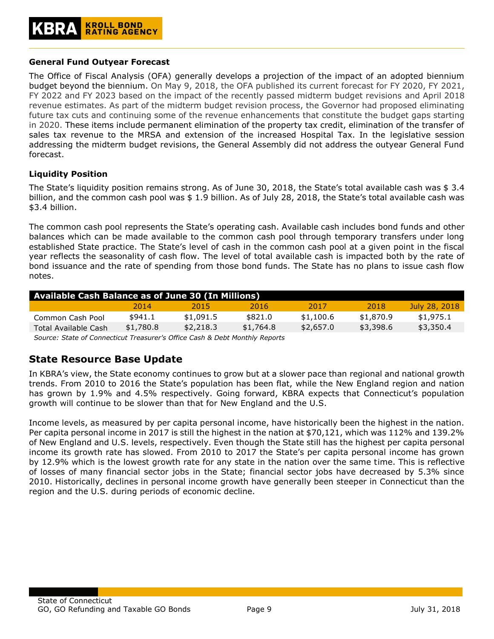#### <span id="page-8-0"></span>**General Fund Outyear Forecast**

The Office of Fiscal Analysis (OFA) generally develops a projection of the impact of an adopted biennium budget beyond the biennium. On May 9, 2018, the OFA published its current forecast for FY 2020, FY 2021, FY 2022 and FY 2023 based on the impact of the recently passed midterm budget revisions and April 2018 revenue estimates. As part of the midterm budget revision process, the Governor had proposed eliminating future tax cuts and continuing some of the revenue enhancements that constitute the budget gaps starting in 2020. These items include permanent elimination of the property tax credit, elimination of the transfer of sales tax revenue to the MRSA and extension of the increased Hospital Tax. In the legislative session addressing the midterm budget revisions, the General Assembly did not address the outyear General Fund forecast.

#### <span id="page-8-1"></span>**Liquidity Position**

The State's liquidity position remains strong. As of June 30, 2018, the State's total available cash was \$ 3.4 billion, and the common cash pool was \$ 1.9 billion. As of July 28, 2018, the State's total available cash was \$3.4 billion.

The common cash pool represents the State's operating cash. Available cash includes bond funds and other balances which can be made available to the common cash pool through temporary transfers under long established State practice. The State's level of cash in the common cash pool at a given point in the fiscal year reflects the seasonality of cash flow. The level of total available cash is impacted both by the rate of bond issuance and the rate of spending from those bond funds. The State has no plans to issue cash flow notes.

| <b>Available Cash Balance as of June 30 (In Millions)</b> |           |           |           |           |           |               |  |  |  |  |
|-----------------------------------------------------------|-----------|-----------|-----------|-----------|-----------|---------------|--|--|--|--|
|                                                           | 2014      | 2015      | 2016      | 2017      | 2018      | July 28, 2018 |  |  |  |  |
| Common Cash Pool                                          | \$941.1   | \$1,091.5 | \$821.0   | \$1,100.6 | \$1,870.9 | \$1,975.1     |  |  |  |  |
| Total Available Cash                                      | \$1,780.8 | \$2,218.3 | \$1,764.8 | \$2,657.0 | \$3,398.6 | \$3,350.4     |  |  |  |  |
|                                                           |           |           |           |           |           |               |  |  |  |  |

*Source: State of Connecticut Treasurer's Office Cash & Debt Monthly Reports*

# <span id="page-8-2"></span>**State Resource Base Update**

In KBRA's view, the State economy continues to grow but at a slower pace than regional and national growth trends. From 2010 to 2016 the State's population has been flat, while the New England region and nation has grown by 1.9% and 4.5% respectively. Going forward, KBRA expects that Connecticut's population growth will continue to be slower than that for New England and the U.S.

Income levels, as measured by per capita personal income, have historically been the highest in the nation. Per capita personal income in 2017 is still the highest in the nation at \$70,121, which was 112% and 139.2% of New England and U.S. levels, respectively. Even though the State still has the highest per capita personal income its growth rate has slowed. From 2010 to 2017 the State's per capita personal income has grown by 12.9% which is the lowest growth rate for any state in the nation over the same time. This is reflective of losses of many financial sector jobs in the State; financial sector jobs have decreased by 5.3% since 2010. Historically, declines in personal income growth have generally been steeper in Connecticut than the region and the U.S. during periods of economic decline.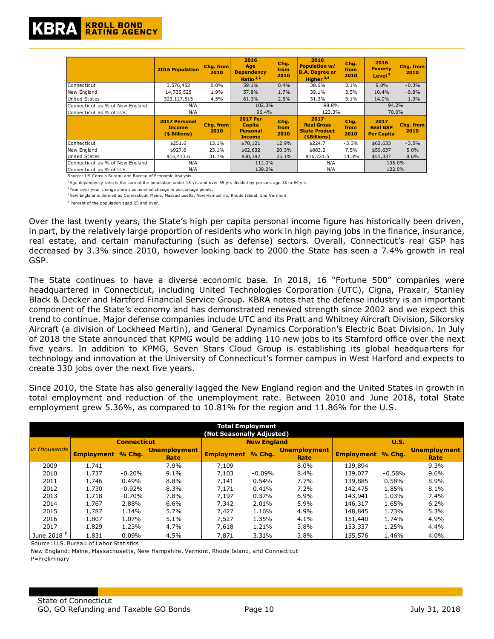|                                 | <b>2016 Population</b>                                 | Chg. from<br>2010 | 2016<br>Age<br><b>Dependency</b><br>Ratio $1,2$                      | Chg.<br>from<br>2010 | 2016<br><b>Population w/</b><br><b>B.A. Degree or</b><br>Higher $2,4$ | Chg.<br>from<br>2010 | 2016<br><b>Poverty</b><br>Level <sup>2</sup> | Chg. from<br>2010 |
|---------------------------------|--------------------------------------------------------|-------------------|----------------------------------------------------------------------|----------------------|-----------------------------------------------------------------------|----------------------|----------------------------------------------|-------------------|
| Connecticut                     | 3,576,452                                              | $0.0\%$           | 59.1%                                                                | 0.4%                 | 38.6%                                                                 | 3.1%                 | 9.8%                                         | $-0.3%$           |
| New England                     | 14,735,525                                             | 1.9%              | 57.8%                                                                | 1.7%                 | 39.1%                                                                 | 3.5%                 | 10.4%                                        | $-0.8%$           |
| United States                   | 323, 127, 515                                          | 4.5%              | 61.3%                                                                | 2.5%                 | 31.3%                                                                 | 3.1%                 | 14.0%                                        | $-1.3%$           |
| Connecticut as % of New England | N/A                                                    |                   | 102.3%                                                               |                      | 98.8%                                                                 |                      | 94.2%                                        |                   |
| lConnecticut as % of U.S.       | N/A                                                    |                   | 96.4%                                                                |                      | 123.3%                                                                |                      | 70.0%                                        |                   |
|                                 | <b>2017 Personal</b><br><b>Income</b><br>(\$ Billions) | Chg. from<br>2010 | <b>2017 Per</b><br><b>Capita</b><br><b>Personal</b><br><b>Income</b> | Chg.<br>from<br>2010 | 2017<br><b>Real Gross</b><br><b>State Product</b><br>(\$Billions)     | Chg.<br>from<br>2010 | 2017<br><b>Real GSP</b><br><b>Per Capita</b> | Chg. from<br>2010 |
| Connecticut                     | \$251.6                                                | 13.1%             | \$70,121                                                             | 12.9%                | \$224.7                                                               | $-3.3%$              | \$62,633                                     | $-3.5%$           |
| New England                     | \$927.6                                                | 23.1%             | \$62,632                                                             | 20.3%                | \$883.2                                                               | 7.5%                 | \$59,637                                     | 5.0%              |
| United States                   | \$16,413.6                                             | 31.7%             | \$50,392                                                             | 25.1%                | \$16,721.5                                                            | 14.3%                | \$51,337                                     | 8.6%              |
| Connecticut as % of New England | N/A                                                    |                   | 112.0%                                                               |                      | N/A                                                                   |                      | 105.0%                                       |                   |
| Connecticut as % of U.S.        | N/A                                                    |                   | 139.2%                                                               |                      | N/A                                                                   |                      | 122.0%                                       |                   |

Source: US Census Bureau and Bureau of Economic Analysis

<sup>1</sup>Age dependency ratio is the sum of the population under 18 yrs and over 65 yrs divided by persons age 18 to 64 yrs.

<sup>2</sup>Year over year change shown as nominal change in percentage points.

<sup>3</sup> New England is defined as Connecticut, Maine, Massachusetts, New Hampshire, Rhode Island, and Vermont

4 Percent of the population aged 25 and over.

Over the last twenty years, the State's high per capita personal income figure has historically been driven, in part, by the relatively large proportion of residents who work in high paying jobs in the finance, insurance, real estate, and certain manufacturing (such as defense) sectors. Overall, Connecticut's real GSP has decreased by 3.3% since 2010, however looking back to 2000 the State has seen a 7.4% growth in real GSP.

The State continues to have a diverse economic base. In 2018, 16 "Fortune 500" companies were headquartered in Connecticut, including United Technologies Corporation (UTC), Cigna, Praxair, Stanley Black & Decker and Hartford Financial Service Group. KBRA notes that the defense industry is an important component of the State's economy and has demonstrated renewed strength since 2002 and we expect this trend to continue. Major defense companies include UTC and its Pratt and Whitney Aircraft Division, Sikorsky Aircraft (a division of Lockheed Martin), and General Dynamics Corporation's Electric Boat Division. In July of 2018 the State announced that KPMG would be adding 110 new jobs to its Stamford office over the next five years. In addition to KPMG, Seven Stars Cloud Group is establishing its global headquarters for technology and innovation at the University of Connecticut's former campus in West Harford and expects to create 330 jobs over the next five years.

Since 2010, the State has also generally lagged the New England region and the United States in growth in total employment and reduction of the unemployment rate. Between 2010 and June 2018, total State employment grew 5.36%, as compared to 10.81% for the region and 11.86% for the U.S.

| <b>Total Employment</b><br>(Not Seasonally Adjusted) |                          |          |                             |                          |                    |                             |                          |          |                             |  |
|------------------------------------------------------|--------------------------|----------|-----------------------------|--------------------------|--------------------|-----------------------------|--------------------------|----------|-----------------------------|--|
|                                                      | <b>Connecticut</b>       |          |                             |                          | <b>New England</b> |                             | U.S.                     |          |                             |  |
| in thousands                                         | <b>Employment</b> % Chg. |          | <b>Unemployment</b><br>Rate | <b>Employment</b> % Chg. |                    | <b>Unemployment</b><br>Rate | <b>Employment</b> % Chq. |          | <b>Unemployment</b><br>Rate |  |
| 2009                                                 | 1,741                    |          | 7.9%                        | 7,109                    |                    | 8.0%                        | 139,894                  |          | 9.3%                        |  |
| 2010                                                 | 1,737                    | $-0.20%$ | 9.1%                        | 7,103                    | $-0.09%$           | 8.4%                        | 139,077                  | $-0.58%$ | $9.6\%$                     |  |
| 2011                                                 | 1,746                    | 0.49%    | 8.8%                        | 7.141                    | 0.54%              | 7.7%                        | 139,885                  | 0.58%    | 8.9%                        |  |
| 2012                                                 | 1,730                    | $-0.92%$ | 8.3%                        | 7,171                    | 0.41%              | 7.2%                        | 142,475                  | 1.85%    | 8.1%                        |  |
| 2013                                                 | 1,718                    | $-0.70%$ | 7.8%                        | 7,197                    | 0.37%              | 6.9%                        | 143,941                  | 1.03%    | 7.4%                        |  |
| 2014                                                 | 1,767                    | 2.88%    | 6.6%                        | 7,342                    | 2.01%              | 5.9%                        | 146,317                  | 1.65%    | 6.2%                        |  |
| 2015                                                 | 1,787                    | 1.14%    | 5.7%                        | 7.427                    | 1.16%              | 4.9%                        | 148,845                  | 1.73%    | 5.3%                        |  |
| 2016                                                 | 1,807                    | 1.07%    | 5.1%                        | 7.527                    | 1.35%              | 4.1%                        | 151,440                  | 1.74%    | 4.9%                        |  |
| 2017                                                 | 1,829                    | 1.23%    | 4.7%                        | 7,618                    | 1.21%              | 3.8%                        | 153,337                  | 1.25%    | 4.4%                        |  |
| June 2018 P                                          | 1,831                    | 0.09%    | 4.5%                        | 7,871                    | 3.31%              | 3.8%                        | 155,576                  | 1.46%    | 4.0%                        |  |

Source: U.S. Bureau of Labor Statistics

New England: Maine, Massachusetts, New Hampshire, Vermont, Rhode Island, and Connecticut P=Preliminary